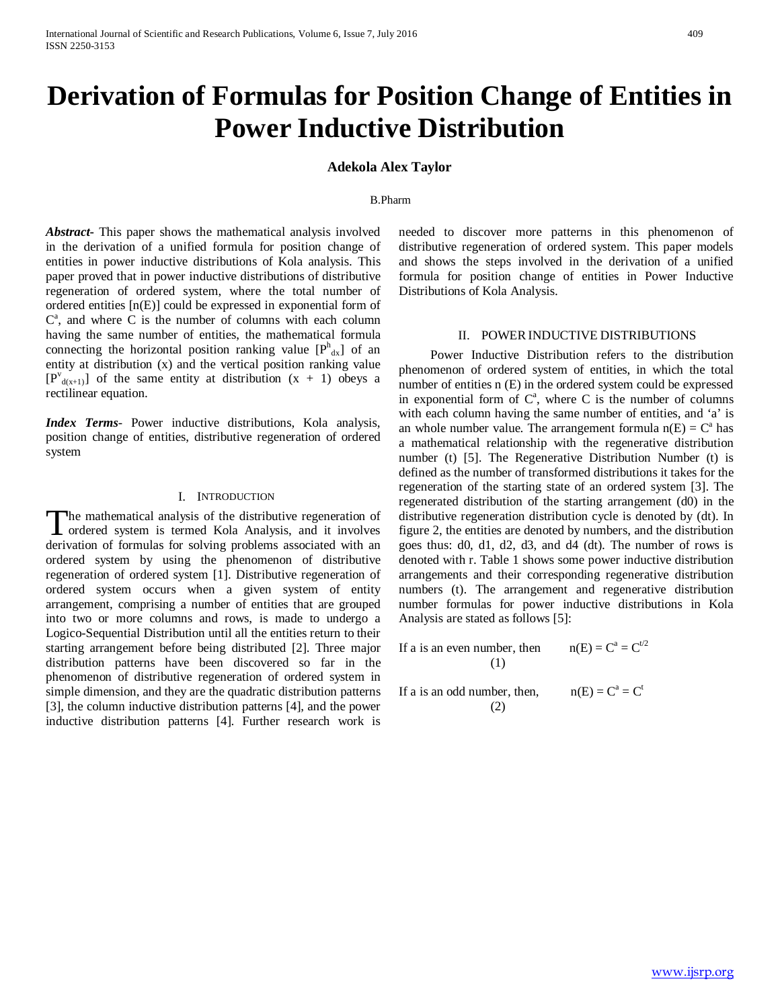# **Derivation of Formulas for Position Change of Entities in Power Inductive Distribution**

## **Adekola Alex Taylor**

#### B.Pharm

*Abstract***-** This paper shows the mathematical analysis involved in the derivation of a unified formula for position change of entities in power inductive distributions of Kola analysis. This paper proved that in power inductive distributions of distributive regeneration of ordered system, where the total number of ordered entities [n(E)] could be expressed in exponential form of  $C^a$ , and where C is the number of columns with each column having the same number of entities, the mathematical formula connecting the horizontal position ranking value  $[P^h_{\text{dx}}]$  of an entity at distribution (x) and the vertical position ranking value  $[P^{v}_{d(x+1)}]$  of the same entity at distribution  $(x + 1)$  obeys a rectilinear equation.

*Index Terms*- Power inductive distributions, Kola analysis, position change of entities, distributive regeneration of ordered system

## I. INTRODUCTION

The mathematical analysis of the distributive regeneration of The mathematical analysis of the distributive regeneration of ordered system is termed Kola Analysis, and it involves derivation of formulas for solving problems associated with an ordered system by using the phenomenon of distributive regeneration of ordered system [1]. Distributive regeneration of ordered system occurs when a given system of entity arrangement, comprising a number of entities that are grouped into two or more columns and rows, is made to undergo a Logico-Sequential Distribution until all the entities return to their starting arrangement before being distributed [2]. Three major distribution patterns have been discovered so far in the phenomenon of distributive regeneration of ordered system in simple dimension, and they are the quadratic distribution patterns [3], the column inductive distribution patterns [4], and the power inductive distribution patterns [4]. Further research work is

needed to discover more patterns in this phenomenon of distributive regeneration of ordered system. This paper models and shows the steps involved in the derivation of a unified formula for position change of entities in Power Inductive Distributions of Kola Analysis.

### II. POWERINDUCTIVE DISTRIBUTIONS

 Power Inductive Distribution refers to the distribution phenomenon of ordered system of entities, in which the total number of entities n (E) in the ordered system could be expressed in exponential form of  $C^a$ , where C is the number of columns with each column having the same number of entities, and 'a' is an whole number value. The arrangement formula  $n(E) = C<sup>a</sup>$  has a mathematical relationship with the regenerative distribution number (t) [5]. The Regenerative Distribution Number (t) is defined as the number of transformed distributions it takes for the regeneration of the starting state of an ordered system [3]. The regenerated distribution of the starting arrangement (d0) in the distributive regeneration distribution cycle is denoted by (dt). In figure 2, the entities are denoted by numbers, and the distribution goes thus: d0, d1, d2, d3, and d4 (dt). The number of rows is denoted with r. Table 1 shows some power inductive distribution arrangements and their corresponding regenerative distribution numbers (t). The arrangement and regenerative distribution number formulas for power inductive distributions in Kola Analysis are stated as follows [5]:

If a is an even number, then  $n(E) = C^a = C^{t/2}$ (1)

If a is an odd number, then,  $n(E) = C^a = C^t$ (2)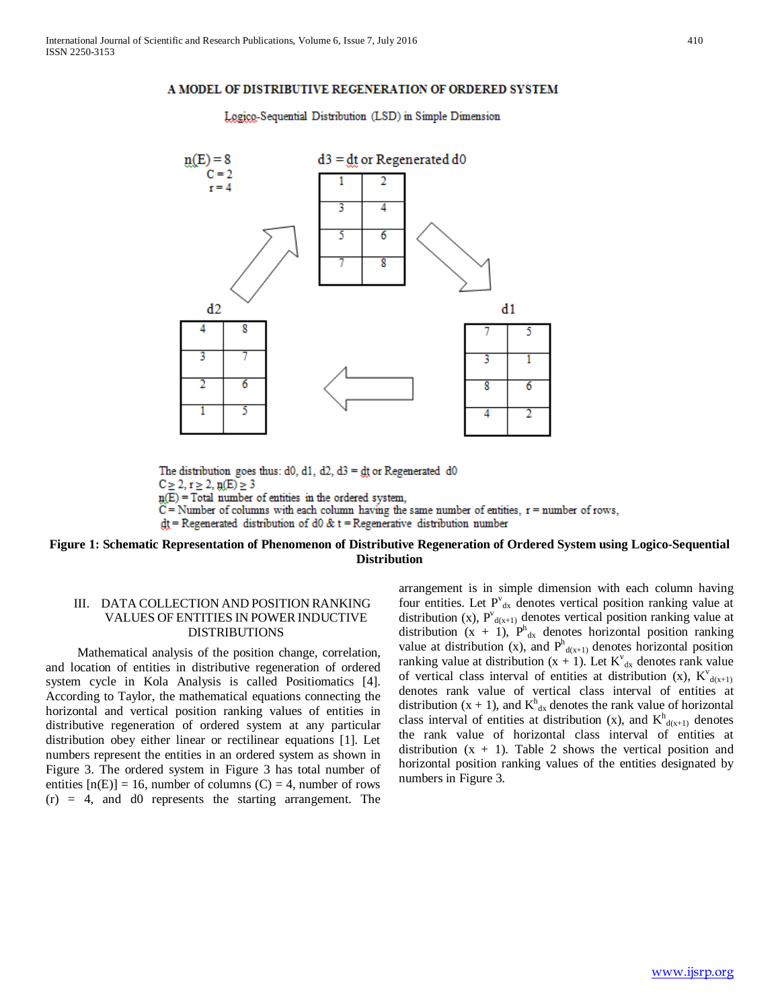## A MODEL OF DISTRIBUTIVE REGENERATION OF ORDERED SYSTEM

Logico-Sequential Distribution (LSD) in Simple Dimension



The distribution goes thus: d0, d1, d2, d3 =  $df$  or Regenerated d0  $C \ge 2, r \ge 2, n(E) \ge 3$  $p(E)$  = Total number of entities in the ordered system,  $C =$  Number of columns with each column having the same number of entities,  $r =$  number of rows,  $dt$  = Regenerated distribution of d0 & t = Regenerative distribution number

## **Figure 1: Schematic Representation of Phenomenon of Distributive Regeneration of Ordered System using Logico-Sequential Distribution**

# III. DATA COLLECTION AND POSITION RANKING VALUES OF ENTITIES IN POWERINDUCTIVE DISTRIBUTIONS

 Mathematical analysis of the position change, correlation, and location of entities in distributive regeneration of ordered system cycle in Kola Analysis is called Positiomatics [4]. According to Taylor, the mathematical equations connecting the horizontal and vertical position ranking values of entities in distributive regeneration of ordered system at any particular distribution obey either linear or rectilinear equations [1]. Let numbers represent the entities in an ordered system as shown in Figure 3. The ordered system in Figure 3 has total number of entities  $[n(E)] = 16$ , number of columns (C) = 4, number of rows  $(r) = 4$ , and d0 represents the starting arrangement. The

arrangement is in simple dimension with each column having four entities. Let P'<sub>dx</sub> denotes vertical position ranking value at distribution (x),  $P^{v}_{d(x+1)}$  denotes vertical position ranking value at distribution  $(x + 1)$ ,  $P_{dx}^{h}$  denotes horizontal position ranking value at distribution (x), and  $P<sup>h</sup><sub>d(x+1)</sub>$  denotes horizontal position ranking value at distribution  $(x + 1)$ . Let  $K^{\nu}_{dx}$  denotes rank value of vertical class interval of entities at distribution (x),  $K^{\nu}$ <sub>d(x+1)</sub> denotes rank value of vertical class interval of entities at distribution  $(x + 1)$ , and  $K<sup>h</sup><sub>dx</sub>$  denotes the rank value of horizontal class interval of entities at distribution (x), and  $K^h_{d(x+1)}$  denotes the rank value of horizontal class interval of entities at distribution  $(x + 1)$ . Table 2 shows the vertical position and horizontal position ranking values of the entities designated by numbers in Figure 3.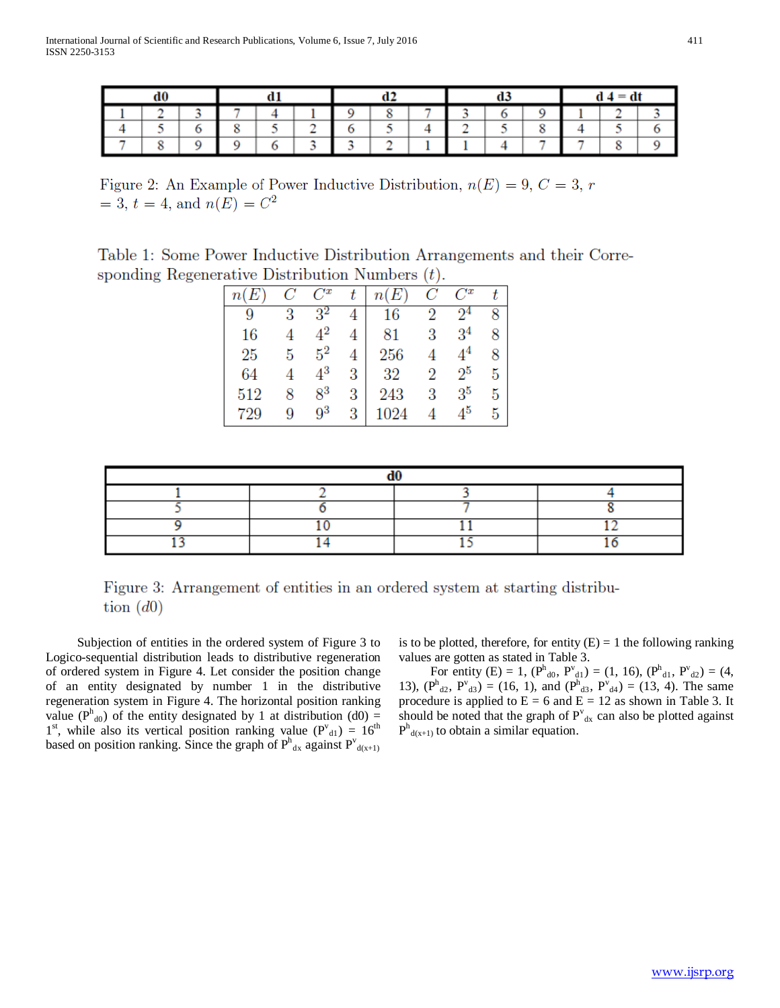|  |  |  |  |  |  |  |  | $d \cdot 4 = dt$ |  |  |  |
|--|--|--|--|--|--|--|--|------------------|--|--|--|
|  |  |  |  |  |  |  |  |                  |  |  |  |
|  |  |  |  |  |  |  |  |                  |  |  |  |
|  |  |  |  |  |  |  |  |                  |  |  |  |

Figure 2: An Example of Power Inductive Distribution,  $n(E) = 9, C = 3, r$  $= 3, t = 4, \text{ and } n(E) = C<sup>2</sup>$ 

Table 1: Some Power Inductive Distribution Arrangements and their Corresponding Regenerative Distribution Numbers  $(t)$ .

| n(E) | С     | $C^x$   |   | n(E)   | $C_{\parallel}$ | $C^x$ |   |
|------|-------|---------|---|--------|-----------------|-------|---|
| 9    | 3     |         |   | $16\,$ | $\overline{2}$  |       |   |
| 16   |       |         |   | 81     | 3               | 34    |   |
| 25   | $5 -$ | $5^2$   |   | 256    |                 |       |   |
| 64   |       | $4^3\,$ |   | $32\,$ | $\overline{2}$  | $2^5$ | 5 |
| 512  |       | $8^3$   |   | 243    | 3               | $3^5$ | h |
| 729  |       | q3      | 3 | 1024   |                 |       |   |



 Subjection of entities in the ordered system of Figure 3 to Logico-sequential distribution leads to distributive regeneration of ordered system in Figure 4. Let consider the position change of an entity designated by number 1 in the distributive regeneration system in Figure 4. The horizontal position ranking value ( $P<sup>h</sup>_{d0}$ ) of the entity designated by 1 at distribution (d0) =  $1<sup>st</sup>$ , while also its vertical position ranking value ( $P<sup>v</sup><sub>d1</sub>$ ) =  $16<sup>th</sup>$ based on position ranking. Since the graph of  $P<sup>h</sup><sub>d<sub>x</sub></sub>$  against  $P<sup>v</sup><sub>d(x+1)</sub>$ 

is to be plotted, therefore, for entity  $(E) = 1$  the following ranking values are gotten as stated in Table 3.

For entity (E) = 1,  $(P^h_{d0}, P^v_{d1}) = (1, 16)$ ,  $(P^h_{d1}, P^v_{d2}) = (4, 16)$ 13),  $(P^h_{d2}, P^v_{d3}) = (16, 1)$ , and  $(P^h_{d3}, P^v_{d4}) = (13, 4)$ . The same procedure is applied to  $E = 6$  and  $E = 12$  as shown in Table 3. It should be noted that the graph of  $P_{dx}^{v}$  can also be plotted against  $P<sup>h</sup><sub>d(x+1)</sub>$  to obtain a similar equation.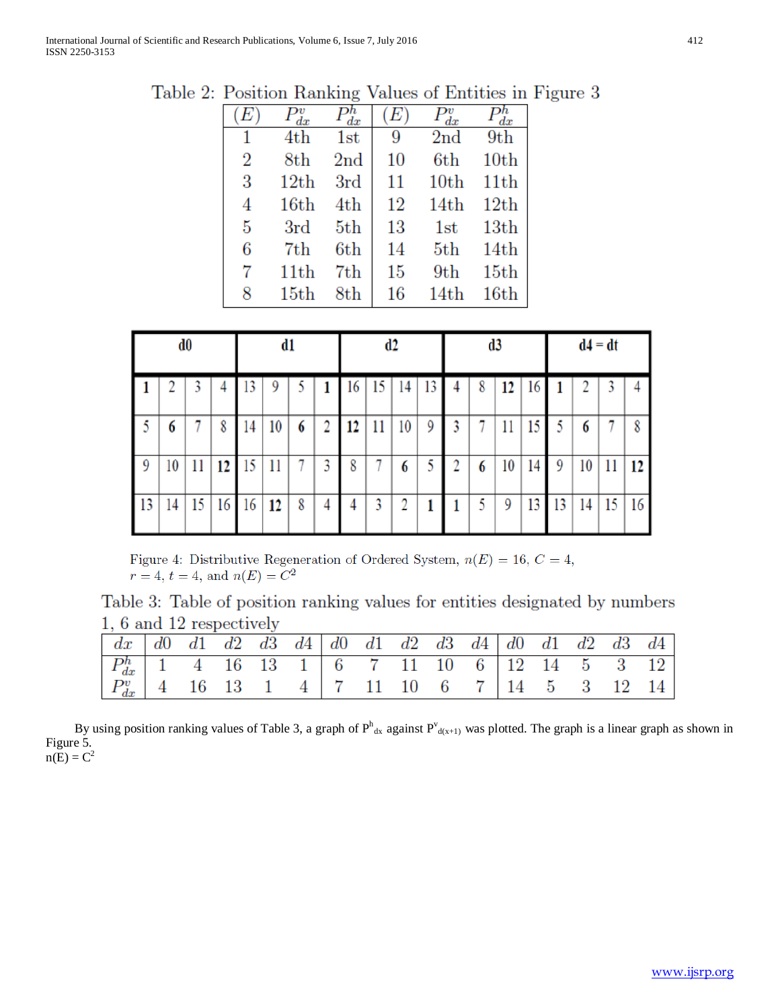| E              | dx   | dx              | E  | $\ddot{dx}$      | dx               |
|----------------|------|-----------------|----|------------------|------------------|
| 1              | 4th  | 1st             | 9  | 2 <sub>nd</sub>  | 9th              |
| $\overline{2}$ | 8th  | 2 <sub>nd</sub> | 10 | 6th              | 10th             |
| 3              | 12th | 3rd             | 11 | 10 <sub>th</sub> | 11 <sub>th</sub> |
| 4              | 16th | 4th             | 12 | 14th             | 12th             |
| 5              | 3rd  | 5th             | 13 | 1st              | 13 <sub>th</sub> |
| 6              | 7th  | 6th             | 14 | 5 <sub>th</sub>  | 14th             |
| 7              | 11th | 7th             | 15 | 9th              | 15th             |
| 8              | 15th | $8{\rm th}$     | 16 | 14th             | 16th             |

Table 2: Position Ranking Values of Entities in Figure 3

|    |    | d0 |    |    | d1 |   |   |    |    | d2 |    | d3 |    |    |    | $d4 = dt$ |    |    |
|----|----|----|----|----|----|---|---|----|----|----|----|----|----|----|----|-----------|----|----|
|    |    |    |    |    | 9  |   |   | 16 | 15 | 14 | 13 | 8  | 12 | 16 |    |           |    |    |
| 5  | 6  |    | 8  | 14 | 10 | 6 | 2 | 12 | 11 | 10 | 9  |    | 11 | 15 |    | 6         |    | 8  |
| 9  | 10 | 11 | 12 | 15 | 11 |   | 3 | 8  |    | 6  |    | 6  | 10 | 14 | 9  | 10        |    | 12 |
| 13 | 14 | 15 | 16 | 16 | 12 | 8 | 4 |    | 3  | 2  |    | 5  | 9  | 13 | 13 | 14        | 15 | 16 |

Figure 4: Distributive Regeneration of Ordered System,  $n(E) = 16, C = 4$ ,  $r = 4, t = 4, \text{ and } n(E) = C^2$ 

Table 3: Table of position ranking values for entities designated by numbers 1, 6 and 12 respectively

| $\begin{vmatrix} dx & d0 & d1 & d2 & d3 & d4 \end{vmatrix}$ d0 d1 d2 d3 d4 d0 d1 d2 d3 d4                                    |  |  |  |  |  |  |  |  |
|------------------------------------------------------------------------------------------------------------------------------|--|--|--|--|--|--|--|--|
|                                                                                                                              |  |  |  |  |  |  |  |  |
| $\begin{array}{ c ccccccccccc }\nP_{dx}^v & 4 & 16 & 13 & 1 & 4 & 7 & 11 & 10 & 6 & 7 & 14 & 5 & 3 & 12 & 14 \\ \end{array}$ |  |  |  |  |  |  |  |  |

By using position ranking values of Table 3, a graph of  $P^h_{dx}$  against  $P^v_{d(x+1)}$  was plotted. The graph is a linear graph as shown in Figure 5.  $n(E) = C^2$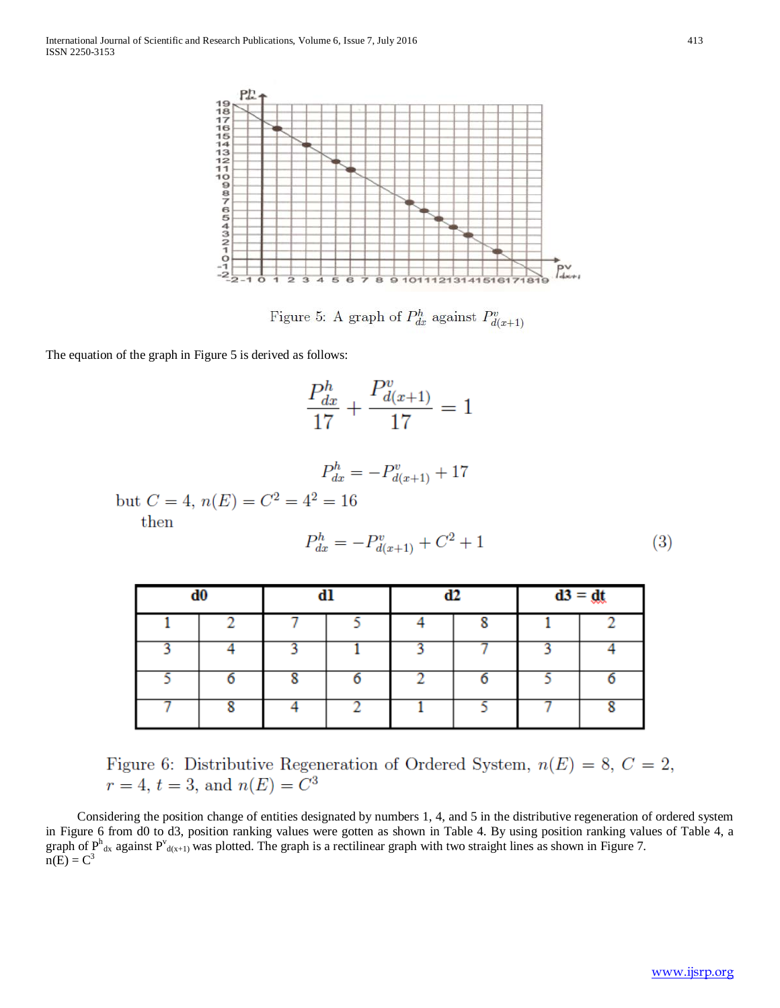

Figure 5: A graph of  $P_{dx}^{h}$  against  $P_{d(x+1)}^{v}$ 

The equation of the graph in Figure 5 is derived as follows:

$$
\frac{P_{dx}^{h}}{17} + \frac{P_{d(x+1)}^{v}}{17} = 1
$$

$$
P_{dx}^{h} = -P_{d(x+1)}^{v} + 17
$$

but  $C = 4$ ,  $n(E) = C^2 = 4^2 = 16$ then

$$
P_{dx}^{h} = -P_{d(x+1)}^{v} + C^{2} + 1
$$
\n(3)

|   | d0 | dl |  | d2 | $d3 = dt$ |   |
|---|----|----|--|----|-----------|---|
|   |    |    |  | o  |           |   |
|   |    |    |  |    |           |   |
|   |    |    |  |    |           |   |
| - | 8  | n  |  | -  |           | 8 |

Figure 6: Distributive Regeneration of Ordered System,  $n(E) = 8$ ,  $C = 2$ ,  $r = 4$ ,  $t = 3$ , and  $n(E) = C<sup>3</sup>$ 

 Considering the position change of entities designated by numbers 1, 4, and 5 in the distributive regeneration of ordered system in Figure 6 from d0 to d3, position ranking values were gotten as shown in Table 4. By using position ranking values of Table 4, a graph of  $P^h$ <sub>dx</sub> against  $P^v$ <sub>d(x+1)</sub> was plotted. The graph is a rectilinear graph with two straight lines as shown in Figure 7.  $n(E) = C<sup>3</sup>$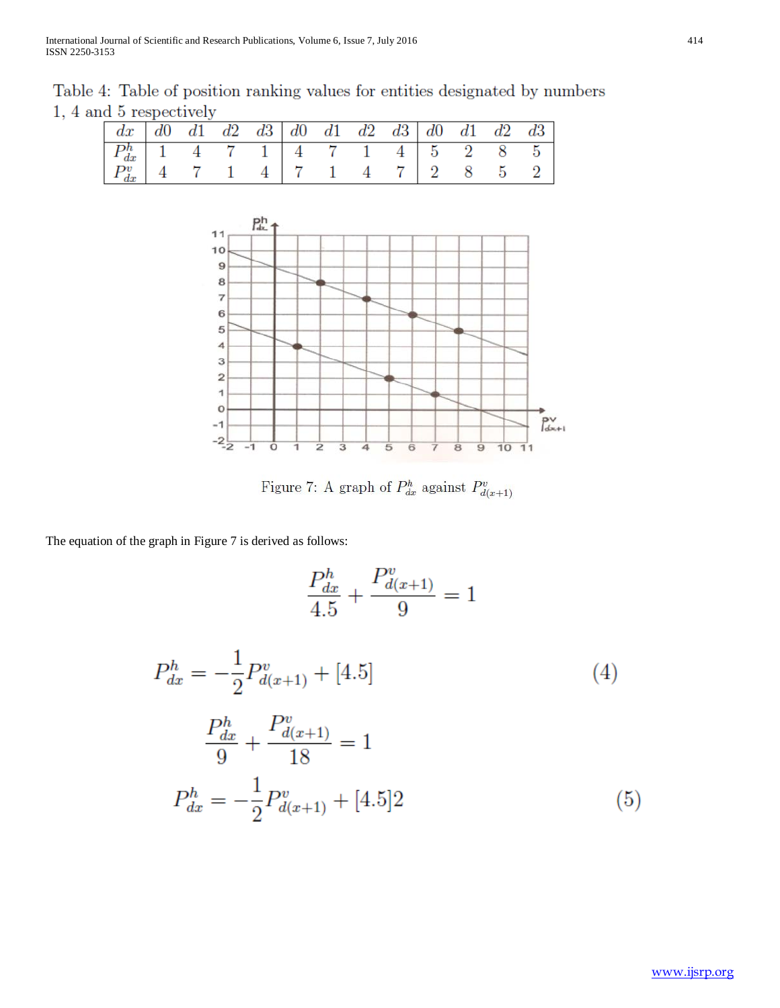Table 4: Table of position ranking values for entities designated by numbers 1, 4 and 5 respectively

| $\begin{array}{ c cccc cccc cccc }\hline P_{dx}^h&1&4&7&1&4&7&1&4&5&2&8&5 \\ \hline P_{dx}^v&4&7&1&4&7&1&4&7&2&8&5&2 \\ \hline \end{array}$ |  |  |  |  |  |  |
|---------------------------------------------------------------------------------------------------------------------------------------------|--|--|--|--|--|--|
|                                                                                                                                             |  |  |  |  |  |  |



Figure 7: A graph of  $P_{dx}^{h}$  against  $P_{d(x+1)}^{v}$ 

The equation of the graph in Figure 7 is derived as follows:

$$
\frac{P_{dx}^{h}}{4.5} + \frac{P_{d(x+1)}^{v}}{9} = 1
$$
  
\n
$$
P_{dx}^{h} = -\frac{1}{2}P_{d(x+1)}^{v} + [4.5]
$$
  
\n
$$
\frac{P_{dx}^{h}}{9} + \frac{P_{d(x+1)}^{v}}{18} = 1
$$
  
\n
$$
P_{dx}^{h} = -\frac{1}{2}P_{d(x+1)}^{v} + [4.5]2
$$
\n(5)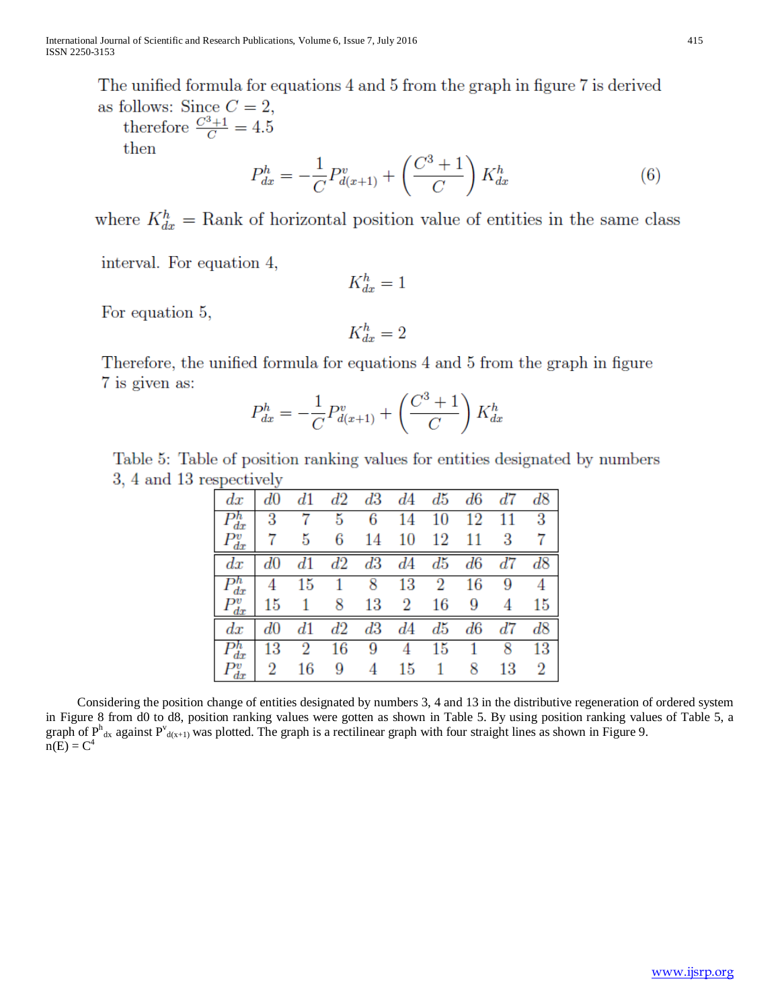The unified formula for equations 4 and 5 from the graph in figure 7 is derived as follows: Since  $C=2$ .

therefore  $\frac{C^3+1}{C} = 4.5$ then

$$
P_{dx}^{h} = -\frac{1}{C}P_{d(x+1)}^{v} + \left(\frac{C^{3} + 1}{C}\right)K_{dx}^{h}
$$
 (6)

where  $K_{dx}^{h} =$  Rank of horizontal position value of entities in the same class

interval. For equation 4,

 $K_{dx}^h = 1$ 

For equation 5,

$$
K_{dx}^h=2
$$

Therefore, the unified formula for equations 4 and 5 from the graph in figure 7 is given as:

$$
P_{dx}^{h} = -\frac{1}{C}P_{d(x+1)}^{v} + \left(\frac{C^{3} + 1}{C}\right)K_{dx}^{h}
$$

Table 5: Table of position ranking values for entities designated by numbers 3, 4 and 13 respectively

| dx                              | d0 | $^{d1}$ | $^{d2}$ | d3 | d4             | ď5     | d6     | ď7 | d8      |
|---------------------------------|----|---------|---------|----|----------------|--------|--------|----|---------|
| эn<br>dx                        | 3  |         | 5       |    | 14             | $10\,$ | 12     |    | 3       |
| $\frac{\partial v}{dx}$         |    | 5       | 6       | 14 | 10             | 12     | 11     | 3  |         |
| dх                              |    |         | d2      | d3 | d4             | ď5     | $d6\,$ | ď7 | $^{d8}$ |
| dx                              |    | 15      |         |    | 13             | 2      | 16     | 9  |         |
| dx                              | 15 |         | 8       | 13 | $\overline{2}$ | 16     | 9      |    | 15      |
| dx                              |    | $_{d1}$ | $^{d2}$ | d3 | d4             | ď5     | $d6\,$ | d7 | d8      |
| $\frac{\partial h}{\partial x}$ | 13 |         | 16      | 9  | 4              | 15     |        | ×  | 13      |
|                                 | 2  | 16      | 9       |    | 15             |        | 8      | 13 | 2       |

 Considering the position change of entities designated by numbers 3, 4 and 13 in the distributive regeneration of ordered system in Figure 8 from d0 to d8, position ranking values were gotten as shown in Table 5. By using position ranking values of Table 5, a graph of  $P^h_{\text{dx}}$  against  $P^v_{\text{d}(x+1)}$  was plotted. The graph is a rectilinear graph with four straight lines as shown in Figure 9.  $n(E) = C<sup>4</sup>$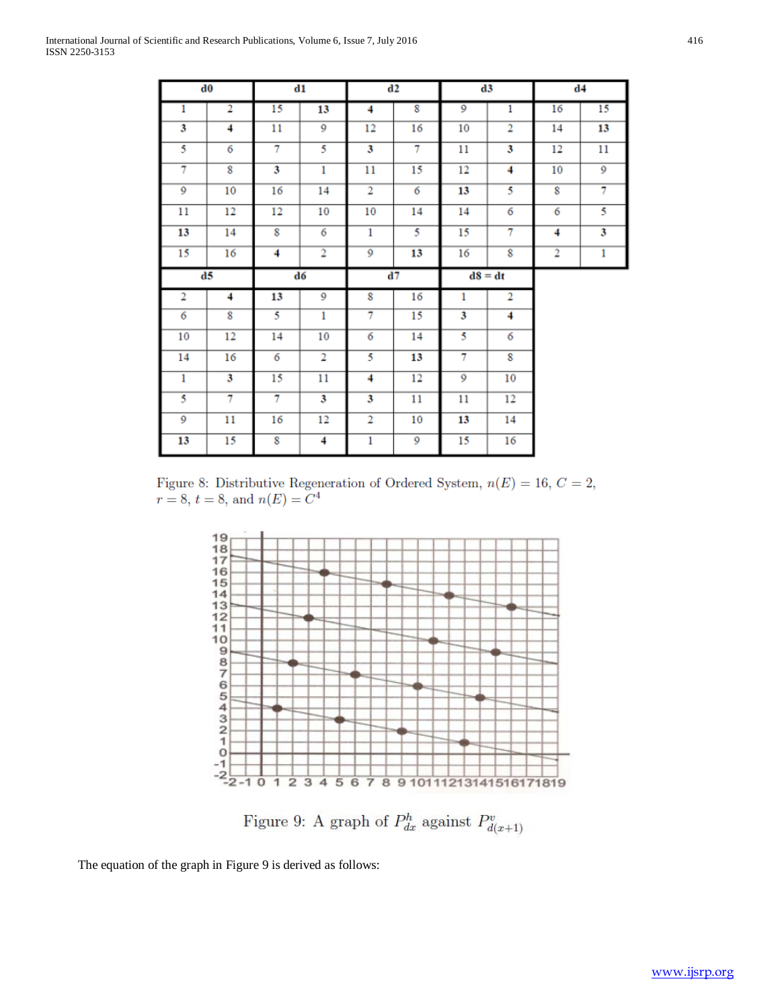|                | d0                      |    | $\mathbf{d}\mathbf{1}$  |                | d2                |                | d3             |                | d4             |
|----------------|-------------------------|----|-------------------------|----------------|-------------------|----------------|----------------|----------------|----------------|
| 1              | 2                       | 15 | 13                      | 4              | 8                 | $\overline{9}$ | 1              | 16             | 15             |
| 3              | 4                       | 11 | 9                       | 12             | 16                | 10             | 2              | 14             | 13             |
| 5              | 6                       | 7  | 5                       | 3              | $\overline{\tau}$ | 11             | 3              | 12             | 11             |
| $\overline{7}$ | $\overline{\mathbf{8}}$ | 3  | $\mathbf{1}$            | 11             | 15                | 12             | 4              | 10             | $\overline{9}$ |
| 9              | 10                      | 16 | 14                      | $\overline{2}$ | 6                 | 13             | 5              | 8              | 7              |
| 11             | 12                      | 12 | 10                      | 10             | 14                | 14             | 6              | 6              | 5              |
| 13             | 14                      | 8  | 6                       | $\mathbf{1}$   | 5                 | 15             | 7              | 4              | 3              |
| 15             | 16                      | 4  | $\overline{\mathbf{2}}$ | 9              | 13                | 16             | 8              | $\overline{2}$ | 1              |
| d5             |                         |    | d6                      |                | d7                |                |                |                |                |
|                |                         |    |                         |                |                   |                | $dS = dt$      |                |                |
| 2              | 4                       | 13 | 9                       | 8              | 16                | 1              | $\overline{2}$ |                |                |
| 6              | 8                       | 5  | 1                       | 7              | 15                | 3              | 4              |                |                |
| 10             | 12                      | 14 | 10                      | 6              | 14                | 5              | 6              |                |                |
| 14             | 16                      | 6  | 2                       | 5              | 13                | 7              | 8              |                |                |
| 1              | 3                       | 15 | 11                      | 4              | 12                | 9              | 10             |                |                |
| 5              | 7                       | 7  | 3                       | 3              | 11                | 11             | 12             |                |                |
| 9              | 11                      | 16 | 12                      | $\overline{2}$ | 10                | 13             | 14             |                |                |

Figure 8: Distributive Regeneration of Ordered System,  $n(E) = 16, C = 2$ ,  $r = 8, t = 8,$  and  $n(E) = C<sup>4</sup>$ 



Figure 9: A graph of  $P_{dx}^{h}$  against  $P_{d(x+1)}^{v}$ 

The equation of the graph in Figure 9 is derived as follows: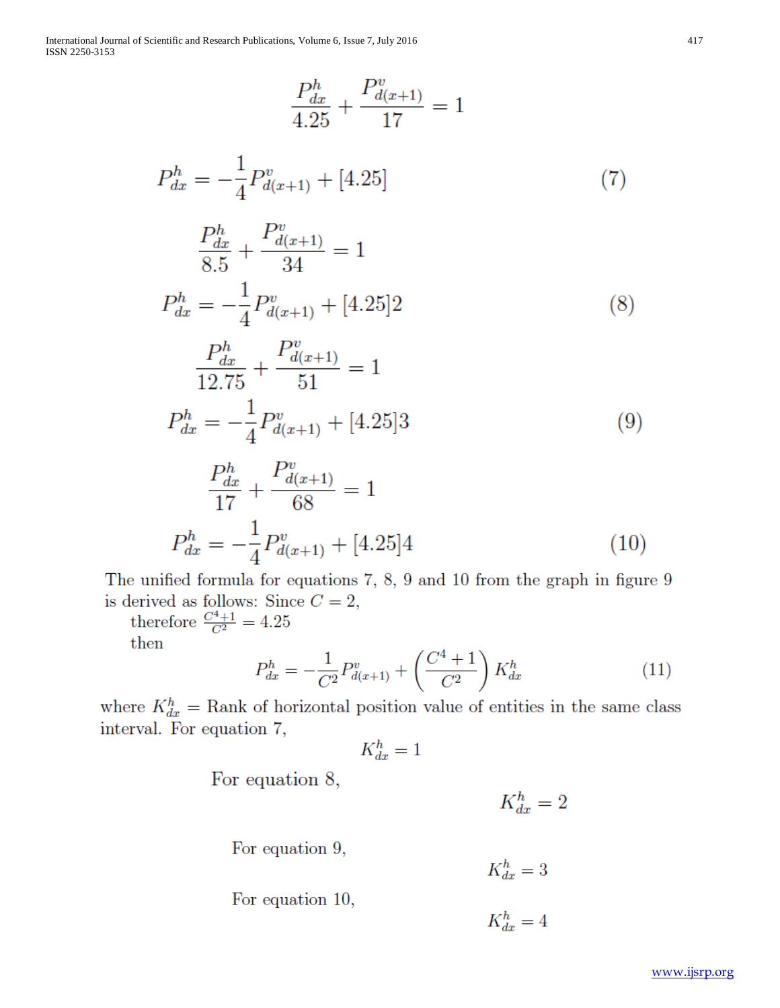International Journal of Scientific and Research Publications, Volume 6, Issue 7, July 2016 ISSN 2250-3153

$$
\frac{P_{dx}^{h}}{4.25} + \frac{P_{d(x+1)}^{v}}{17} = 1
$$

$$
P_{dx}^{h} = -\frac{1}{4}P_{d(x+1)}^{v} + [4.25] \tag{7}
$$

$$
\frac{P_{dx}^{h}}{8.5} + \frac{P_{d(x+1)}^{v}}{34} = 1
$$
\n
$$
P_{dx}^{h} = -\frac{1}{4}P_{d(x+1)}^{v} + [4.25]2
$$
\n
$$
\frac{P_{dx}^{h}}{12.75} + \frac{P_{d(x+1)}^{v}}{51} = 1
$$
\n
$$
P_{dx}^{h} = -\frac{1}{4}P_{d(x+1)}^{v} + [4.25]3
$$
\n
$$
P_{dx}^{h} = P_{d(x+1)}^{v} + [4.25]3
$$
\n(9)

$$
\frac{P_{dx}^{h}}{17} + \frac{P_{d(x+1)}^{v}}{68} = 1
$$
\n
$$
P_{dx}^{h} = -\frac{1}{4}P_{d(x+1)}^{v} + [4.25]4
$$
\n(10)

The unified formula for equations 7, 8, 9 and 10 from the graph in figure 9 is derived as follows: Since  $C = 2$ ,<br>therefore  $\frac{C^4 + 1}{C^2} = 4.25$ 

then

$$
P_{dx}^{h} = -\frac{1}{C^{2}}P_{d(x+1)}^{v} + \left(\frac{C^{4} + 1}{C^{2}}\right)K_{dx}^{h}
$$
 (11)

where  $K_{dx}^{h}$  = Rank of horizontal position value of entities in the same class interval. For equation 7,

$$
K_{dx}^h = 1
$$

For equation 8,

 $K_{dx}^h=2$ 

For equation 9,

For equation 10,

 $K_{dx}^h=3$ 

$$
K_{dx}^h = 4
$$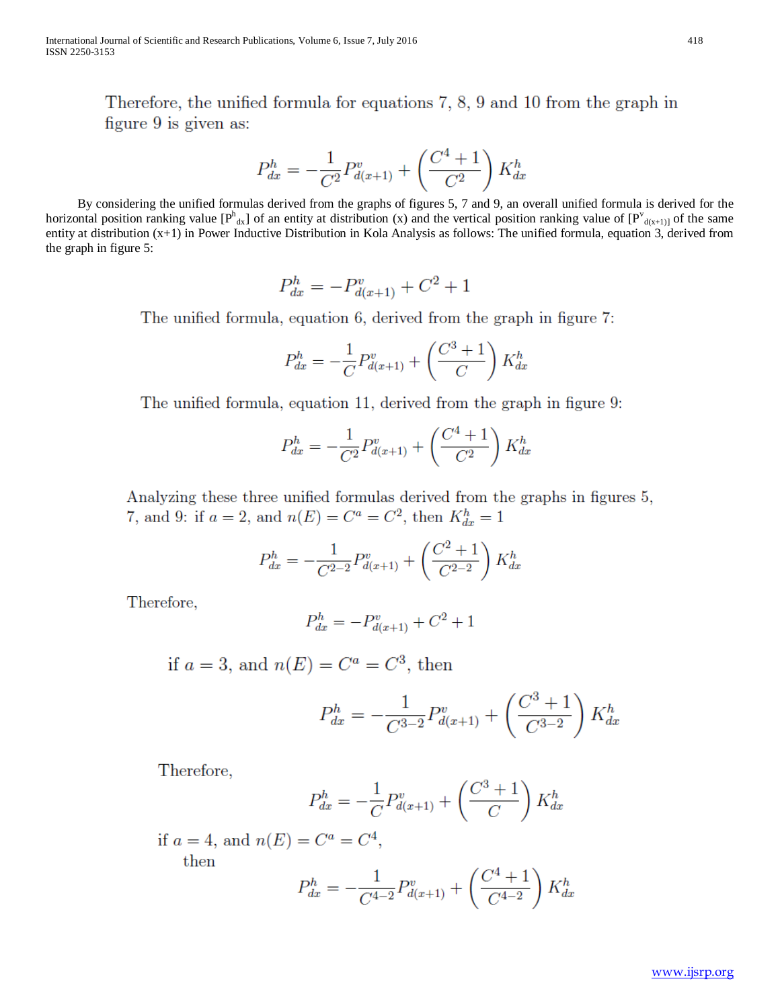Therefore, the unified formula for equations 7, 8, 9 and 10 from the graph in figure 9 is given as:

$$
P_{dx}^{h} = -\frac{1}{C^{2}}P_{d(x+1)}^{v} + \left(\frac{C^{4} + 1}{C^{2}}\right)K_{dx}^{h}
$$

By considering the unified formulas derived from the graphs of figures 5, 7 and 9, an overall unified formula is derived for the horizontal position ranking value  $[P^h{}_{dx}]$  of an entity at distribution (x) and the vertical position ranking value of  $[P^v{}_{d(x+1)]}$  of the same entity at distribution  $(x+1)$  in Power Inductive Distribution in Kola Analysis as follows: The unified formula, equation 3, derived from the graph in figure 5:

$$
P_{dx}^{h} = -P_{d(x+1)}^{v} + C^{2} + 1
$$

The unified formula, equation 6, derived from the graph in figure 7:

$$
P_{dx}^{h} = -\frac{1}{C}P_{d(x+1)}^{v} + \left(\frac{C^{3} + 1}{C}\right)K_{dx}^{h}
$$

The unified formula, equation 11, derived from the graph in figure 9:

$$
P_{dx}^{h} = -\frac{1}{C^2} P_{d(x+1)}^{v} + \left(\frac{C^4 + 1}{C^2}\right) K_{dx}^{h}
$$

Analyzing these three unified formulas derived from the graphs in figures 5, 7, and 9: if  $a = 2$ , and  $n(E) = C^a = C^2$ , then  $K_{dx}^h = 1$ 

$$
P_{dx}^{h} = -\frac{1}{C^{2-2}}P_{d(x+1)}^{v} + \left(\frac{C^{2}+1}{C^{2-2}}\right)K_{dx}^{h}
$$

Therefore,

$$
P_{dx}^{h} = -P_{d(x+1)}^{v} + C^{2} + 1
$$

if  $a = 3$ , and  $n(E) = C^a = C^3$ , then

$$
P_{dx}^{h} = -\frac{1}{C^{3-2}}P_{d(x+1)}^{v} + \left(\frac{C^{3}+1}{C^{3-2}}\right)K_{dx}^{h}
$$

Therefore,

$$
P_{dx}^{h} = -\frac{1}{C}P_{d(x+1)}^{v} + \left(\frac{C^{3} + 1}{C}\right)K_{dx}^{h}
$$

if  $a = 4$ , and  $n(E) = C^a = C^4$ ,

then

$$
P_{dx}^{h} = -\frac{1}{C^{4-2}}P_{d(x+1)}^{v} + \left(\frac{C^{4} + 1}{C^{4-2}}\right)K_{dx}^{h}
$$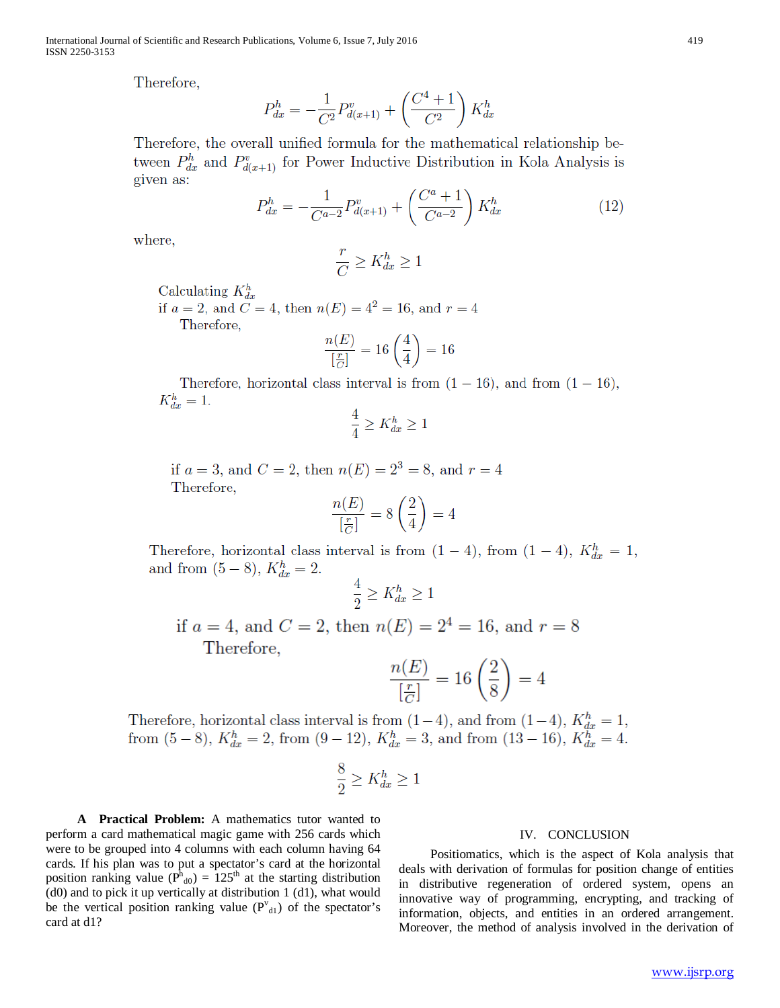Therefore,

$$
P_{dx}^{h} = -\frac{1}{C^{2}}P_{d(x+1)}^{v} + \left(\frac{C^{4} + 1}{C^{2}}\right)K_{dx}^{h}
$$

Therefore, the overall unified formula for the mathematical relationship between  $P_{dx}^{h}$  and  $P_{d(x+1)}^{v}$  for Power Inductive Distribution in Kola Analysis is given as:

$$
P_{dx}^{h} = -\frac{1}{C^{a-2}} P_{d(x+1)}^{v} + \left(\frac{C^{a} + 1}{C^{a-2}}\right) K_{dx}^{h}
$$
 (12)

where,

$$
\frac{r}{C} \ge K_{dx}^h \ge 1
$$

Calculating  $K_{dx}^{h}$ 

if  $a = 2$ , and  $C = 4$ , then  $n(E) = 4^2 = 16$ , and  $r = 4$ Therefore,

$$
\frac{n(E)}{\left[\frac{r}{C}\right]}=16\left(\frac{4}{4}\right)=16
$$

Therefore, horizontal class interval is from  $(1 - 16)$ , and from  $(1 - 16)$ ,  $K_{dx}^h=1.$ 

$$
\frac{4}{4} \ge K_{dx}^h \ge 1
$$

if  $a = 3$ , and  $C = 2$ , then  $n(E) = 2^3 = 8$ , and  $r = 4$ Therefore,

$$
\frac{n(E)}{\left[\frac{r}{C}\right]} = 8\left(\frac{2}{4}\right) = 4
$$

Therefore, horizontal class interval is from  $(1-4)$ , from  $(1-4)$ ,  $K_{dx}^{h} = 1$ , and from  $(5-8)$ ,  $K_{dx}^{h} = 2$ .

$$
\frac{4}{2} \ge K_{dx}^h \ge 1
$$

if 
$$
a = 4
$$
, and  $C = 2$ , then  $n(E) = 2^4 = 16$ , and  $r = 8$   
Therefore,

$$
\frac{n(E)}{\left[\frac{r}{C}\right]} = 16\left(\frac{2}{8}\right) = 4
$$

Therefore, horizontal class interval is from  $(1-4)$ , and from  $(1-4)$ ,  $K_{dx}^{h} = 1$ , from  $(5-8)$ ,  $K_{dx}^{h} = 2$ , from  $(9-12)$ ,  $K_{dx}^{h} = 3$ , and from  $(13-16)$ ,  $K_{dx}^{h} = 4$ .

$$
\frac{3}{2} \ge K_{dx}^h \ge 1
$$

A Practical Problem: A mathematics tutor wanted to perform a card mathematical magic game with 256 cards which were to be grouped into 4 columns with each column having 64 cards. If his plan was to put a spectator's card at the horizontal position ranking value ( $P_{d0}^{h}$ ) = 125<sup>th</sup> at the starting distribution (d0) and to pick it up vertically at distribution 1 (d1), what would be the vertical position ranking value  $(P^{v}_{d1})$  of the spectator's card at d1?

## IV. CONCLUSION

Positiomatics, which is the aspect of Kola analysis that deals with derivation of formulas for position change of entities in distributive regeneration of ordered system, opens an innovative way of programming, encrypting, and tracking of information, objects, and entities in an ordered arrangement. Moreover, the method of analysis involved in the derivation of